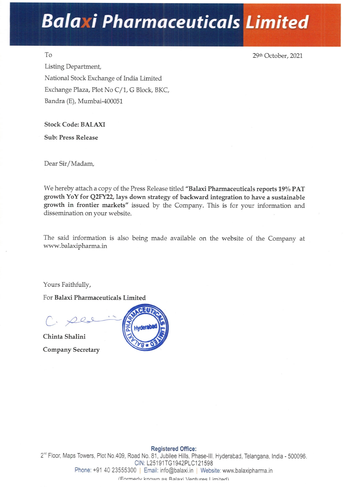## Balaxi Pharmaceuticals Limited

To 29th October, 2021

Listing Department, National Stock Exchange of India Limited Exchange Plaza, Plot No C/1, G Block, BKC, Bandra (E), Mumbai-400051

Stock Code: BALAXI

Sub: Press Release

Dear Sir/Madam,

We hereby attach a copy of the Press Release titled "Balaxi Pharmaceuticals reports 19% PAT growth YoY for Q2FY22, lays down strategy of backward integration to have a sustainable growth in frontier markets" issued by the Company. This is for your information and dissemination on your website.

The said information is also being made available on the website of the Company at www.balaxipharma.in

Yours Faithfully,

For Balaxi Pharmaceuticals Limited

C. 22s S

Chinta Shalini Company Secretary



# Dear Sir/Madam,<br>
We hereby attach a copy of the Press Release tit<br>
growth YoY for Q2FY22, lays down strategy of<br>
growth in frontier markets" issued by the<br>
dissemination on your website.<br>
The said information is also bein 9, Road No.<br>CIN: L2<br>55300 | Em<br>Formerly kno Registered Office: 2" Floor, Maps Towers, Plot No.409, Road No. 81, Jubilee Hills, Phase-lll. Hyderabad, Telangana, India - 500096. CIN: L25191TG1942PLC121598 Phone: +91 40 23555300 | Email: info@balaxi.in | Website: www.balaxipharma.in {Farmariv known ac Ralavi Vantiurac | imitad\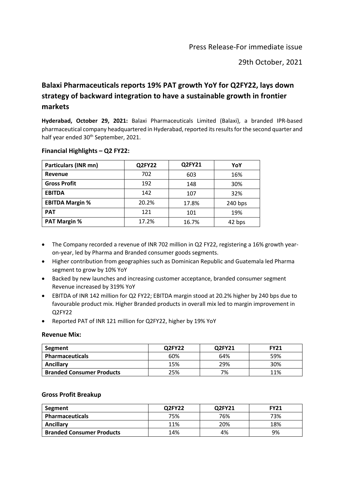29th October, 2021

### **Balaxi Pharmaceuticals reports 19% PAT growth YoY for Q2FY22, lays down strategy of backward integration to have a sustainable growth in frontier markets**

**Hyderabad, October 29, 2021:** Balaxi Pharmaceuticals Limited (Balaxi), a branded IPR-based pharmaceutical company headquartered in Hyderabad, reported its results for the second quarter and half year ended 30<sup>th</sup> September, 2021.

| <b>Particulars (INR mn)</b> | Q2FY22 | Q2FY21     | YoY       |  |
|-----------------------------|--------|------------|-----------|--|
| Revenue                     | 702    | 603        | 16%       |  |
| <b>Gross Profit</b>         | 192    | 148        | 30%       |  |
| <b>EBITDA</b>               | 142    | 107        | 32%       |  |
| <b>EBITDA Margin %</b>      | 20.2%  | 17.8%      | $240$ bps |  |
| <b>PAT</b>                  | 121    | 19%<br>101 |           |  |
| <b>PAT Margin %</b>         | 17.2%  | 16.7%      | 42 bps    |  |

#### **Financial Highlights – Q2 FY22:**

- The Company recorded a revenue of INR 702 million in Q2 FY22, registering a 16% growth yearon-year, led by Pharma and Branded consumer goods segments.
- Higher contribution from geographies such as Dominican Republic and Guatemala led Pharma segment to grow by 10% YoY
- Backed by new launches and increasing customer acceptance, branded consumer segment Revenue increased by 319% YoY
- EBITDA of INR 142 million for Q2 FY22; EBITDA margin stood at 20.2% higher by 240 bps due to favourable product mix. Higher Branded products in overall mix led to margin improvement in Q2FY22
- Reported PAT of INR 121 million for Q2FY22, higher by 19% YoY

#### **Revenue Mix:**

| Segment                          | Q2FY22 | Q2FY21 | <b>FY21</b> |  |
|----------------------------------|--------|--------|-------------|--|
| <b>Pharmaceuticals</b>           | 60%    | 64%    | 59%         |  |
| Ancillary                        | 15%    | 29%    | 30%         |  |
| <b>Branded Consumer Products</b> | 25%    | 7%     | 11%         |  |

#### **Gross Profit Breakup**

| Segment                          | Q2FY22 | Q2FY21 | <b>FY21</b> |
|----------------------------------|--------|--------|-------------|
| <b>Pharmaceuticals</b>           | 75%    | 76%    | 73%         |
| Ancillary                        | 11%    | 20%    | 18%         |
| <b>Branded Consumer Products</b> | 14%    | 4%     | 9%          |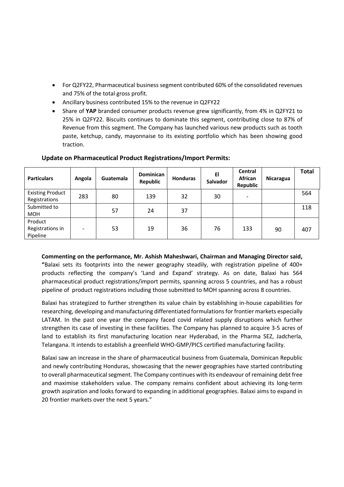- For Q2FY22, Pharmaceutical business segment contributed 60% of the consolidated revenues and 75% of the total gross profit.
- Ancillary business contributed 15% to the revenue in Q2FY22
- Share of **YAP** branded consumer products revenue grew significantly, from 4% in Q2FY21 to 25% in Q2FY22. Biscuits continues to dominate this segment, contributing close to 87% of Revenue from this segment. The Company has launched various new products such as tooth paste, ketchup, candy, mayonnaise to its existing portfolio which has been showing good traction.

| <b>Particulars</b>                       | Angola                   | Guatemala | <b>Dominican</b><br><b>Republic</b> | <b>Honduras</b> | EI<br><b>Salvador</b> | <b>Central</b><br>African<br>Republic | Nicaragua | <b>Total</b> |
|------------------------------------------|--------------------------|-----------|-------------------------------------|-----------------|-----------------------|---------------------------------------|-----------|--------------|
| <b>Existing Product</b><br>Registrations | 283                      | 80        | 139                                 | 32              | 30                    | $\overline{\phantom{a}}$              |           | 564          |
| Submitted to<br><b>MOH</b>               |                          | 57        | 24                                  | 37              |                       |                                       |           | 118          |
| Product<br>Registrations in<br>Pipeline  | $\overline{\phantom{0}}$ | 53        | 19                                  | 36              | 76                    | 133                                   | 90        | 407          |

#### **Update on Pharmaceutical Product Registrations/Import Permits:**

**Commenting on the performance, Mr. Ashish Maheshwari, Chairman and Managing Director said, "**Balaxi sets its footprints into the newer geography steadily, with registration pipeline of 400+ products reflecting the company's 'Land and Expand' strategy. As on date, Balaxi has 564 pharmaceutical product registrations/import permits, spanning across 5 countries, and has a robust pipeline of product registrations including those submitted to MOH spanning across 8 countries.

Balaxi has strategized to further strengthen its value chain by establishing in-house capabilities for researching, developing and manufacturing differentiated formulations for frontier markets especially LATAM. In the past one year the company faced covid related supply disruptions which further strengthen its case of investing in these facilities. The Company has planned to acquire 3-5 acres of land to establish its first manufacturing location near Hyderabad, in the Pharma SEZ, Jadcherla, Telangana. It intends to establish a greenfield WHO-GMP/PICS certified manufacturing facility.

Balaxi saw an increase in the share of pharmaceutical business from Guatemala, Dominican Republic and newly contributing Honduras, showcasing that the newer geographies have started contributing to overall pharmaceutical segment. The Company continues with its endeavour of remaining debt free and maximise stakeholders value. The company remains confident about achieving its long-term growth aspiration and looks forward to expanding in additional geographies. Balaxi aims to expand in 20 frontier markets over the next 5 years."